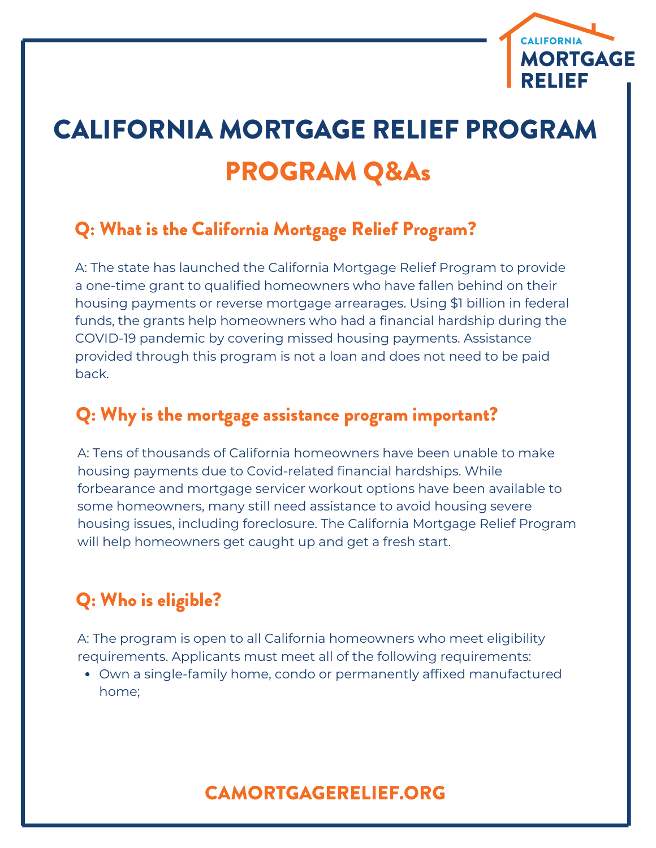

# CALIFORNIA MORTGAGE RELIEF PROGRAM PROGRAM Q&As

### Q: What is the California Mortgage Relief Program?

A: The state has launched the California Mortgage Relief Program to provide a one-time grant to qualified homeowners who have fallen behind on their housing payments or reverse mortgage arrearages. Using \$1 billion in federal funds, the grants help homeowners who had a financial hardship during the COVID-19 pandemic by covering missed housing payments. Assistance provided through this program is not a loan and does not need to be paid back.

#### Q: Why is the mortgage assistance program important?

A: Tens of thousands of California homeowners have been unable to make housing payments due to Covid-related financial hardships. While forbearance and mortgage servicer workout options have been available to some homeowners, many still need assistance to avoid housing severe housing issues, including foreclosure. The California Mortgage Relief Program will help homeowners get caught up and get a fresh start.

## Q: Who is eligible?

A: The program is open to all California homeowners who meet eligibility requirements. Applicants must meet all of the following requirements:

Own a single-family home, condo or permanently affixed manufactured home;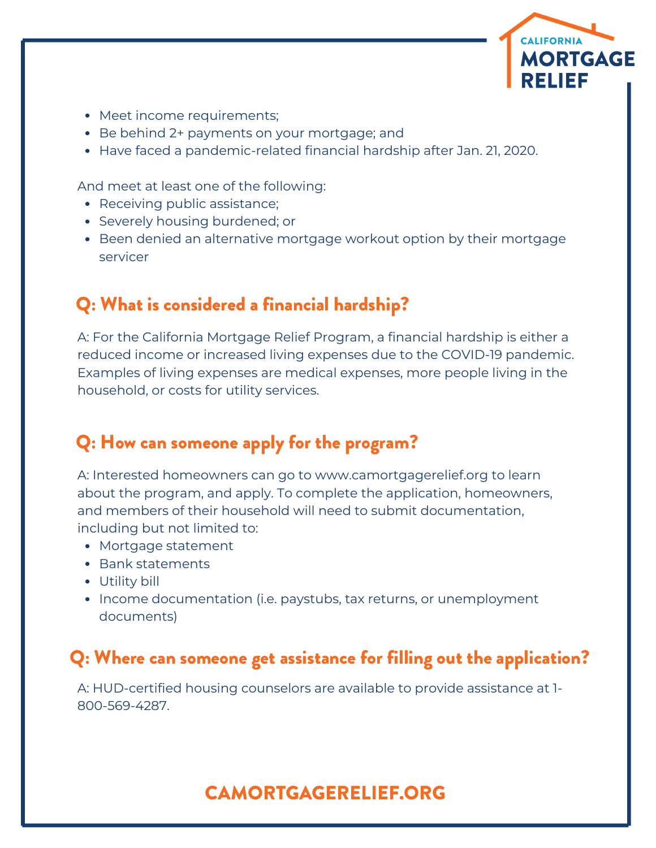

- Meet income requirements;
- Be behind 2+ payments on your mortgage; and
- Have faced a pandemic-related financial hardship after Jan. 21, 2020.

And meet at least one of the following:

- Receiving public assistance;
- Severely housing burdened; or
- Been denied an alternative mortgage workout option by their mortgage servicer

#### Q: What is considered a financial hardship?

A: For the California Mortgage Relief Program, a financial hardship is either a reduced income or increased living expenses due to the COVID-19 pandemic. Examples of living expenses are medical expenses, more people living in the household, or costs for utility services.

#### Q: How can someone apply for the program?

A: Interested homeowners can go to www.camortgagerelief.org to learn about the program, and apply. To complete the application, homeowners, and members of their household will need to submit documentation, including but not limited to:

- Mortgage statement
- Bank statements
- Utility bill
- Income documentation (i.e. paystubs, tax returns, or unemployment documents)

#### Q: Where can someone get assistance for filling out the application?

A: HUD-certified housing counselors are available to provide assistance at 1- 800-569-4287.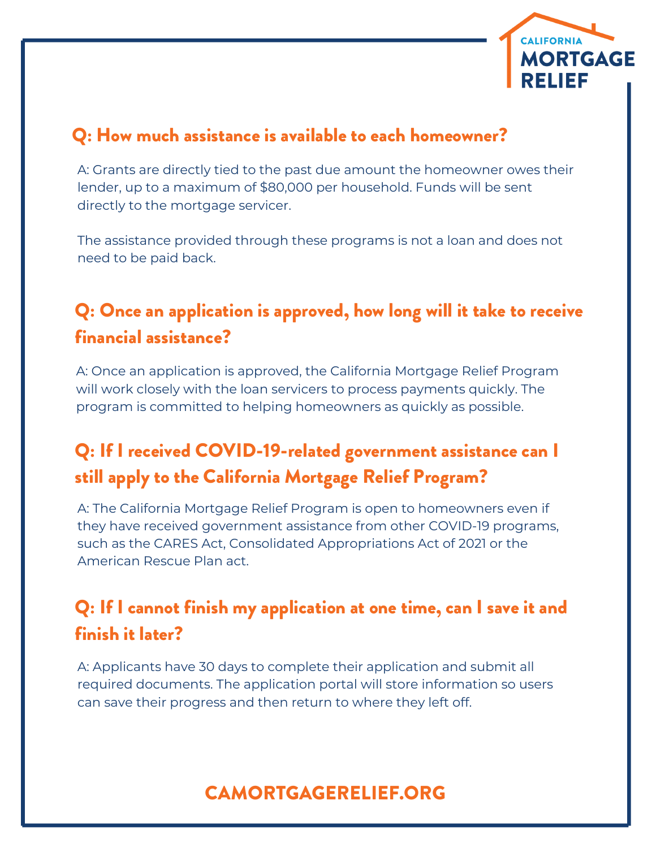

#### Q: How much assistance is available to each homeowner?

A: Grants are directly tied to the past due amount the homeowner owes their lender, up to a maximum of \$80,000 per household. Funds will be sent directly to the mortgage servicer.

The assistance provided through these programs is not a loan and does not need to be paid back.

## Q: Once an application is approved, how long will it take to receive financial assistance?

A: Once an application is approved, the California Mortgage Relief Program will work closely with the loan servicers to process payments quickly. The program is committed to helping homeowners as quickly as possible.

## Q: If I received COVID-19-related government assistance can I still apply to the California Mortgage Relief Program?

A: The California Mortgage Relief Program is open to homeowners even if they have received government assistance from other COVID-19 programs, such as the CARES Act, Consolidated Appropriations Act of 2021 or the American Rescue Plan act.

## Q: If I cannot finish my application at one time, can I save it and finish it later?

A: Applicants have 30 days to complete their application and submit all required documents. The application portal will store information so users can save their progress and then return to where they left off.